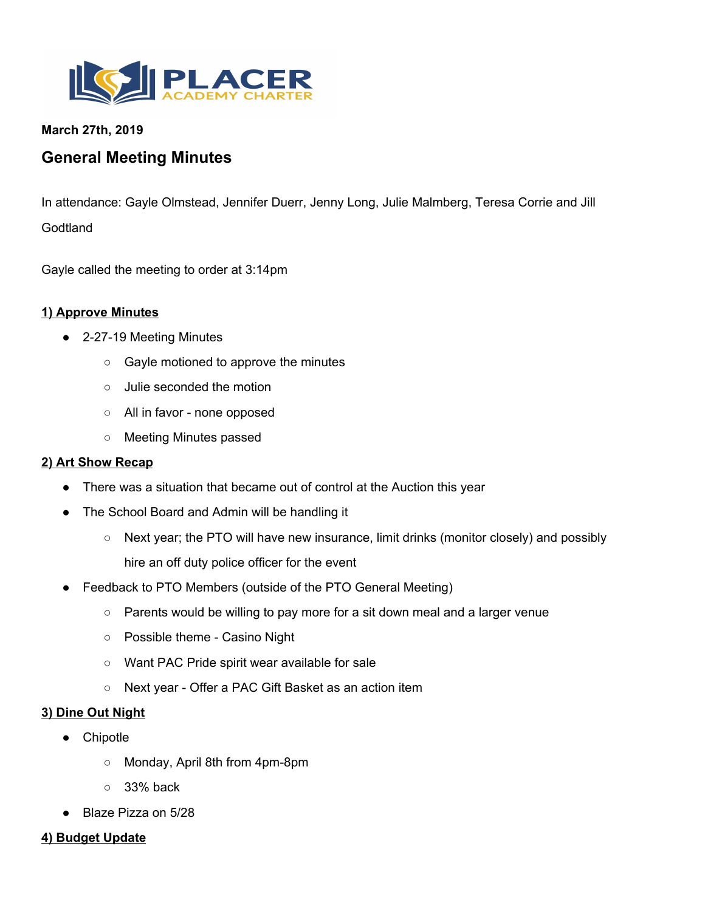

### **March 27th, 2019**

# **General Meeting Minutes**

In attendance: Gayle Olmstead, Jennifer Duerr, Jenny Long, Julie Malmberg, Teresa Corrie and Jill **Godtland** 

Gayle called the meeting to order at 3:14pm

### **1) Approve Minutes**

- 2-27-19 Meeting Minutes
	- Gayle motioned to approve the minutes
	- Julie seconded the motion
	- All in favor none opposed
	- Meeting Minutes passed

#### **2) Art Show Recap**

- There was a situation that became out of control at the Auction this year
- The School Board and Admin will be handling it
	- Next year; the PTO will have new insurance, limit drinks (monitor closely) and possibly hire an off duty police officer for the event
- Feedback to PTO Members (outside of the PTO General Meeting)
	- Parents would be willing to pay more for a sit down meal and a larger venue
	- Possible theme Casino Night
	- Want PAC Pride spirit wear available for sale
	- Next year Offer a PAC Gift Basket as an action item

#### **3) Dine Out Night**

- Chipotle
	- Monday, April 8th from 4pm-8pm
	- $\circ$  33% back
- Blaze Pizza on 5/28

#### **4) Budget Update**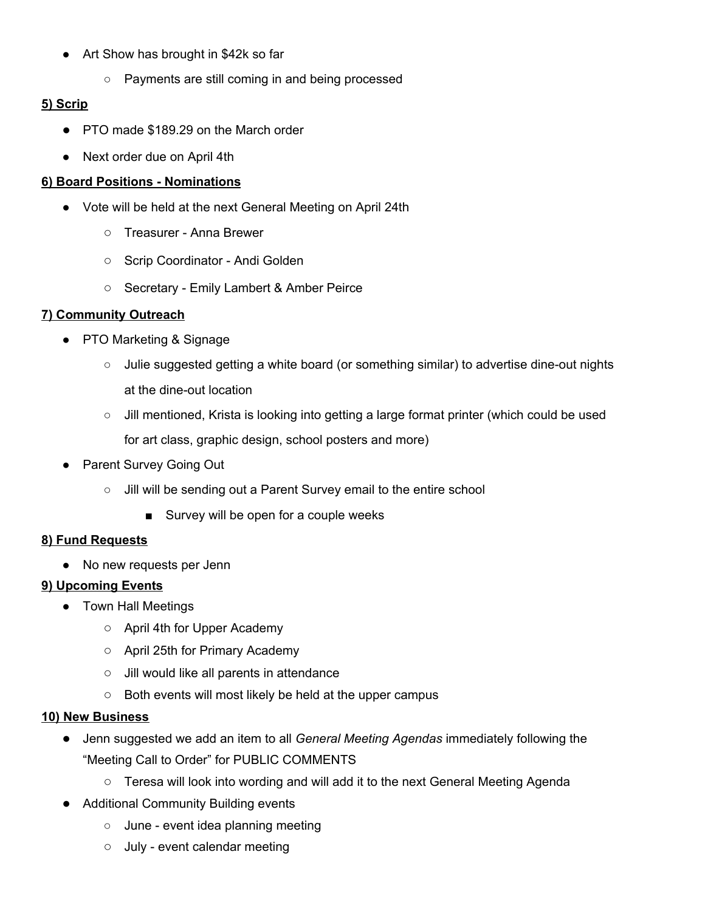- Art Show has brought in \$42k so far
	- Payments are still coming in and being processed

# **5) Scrip**

- PTO made \$189.29 on the March order
- Next order due on April 4th

## **6) Board Positions - Nominations**

- Vote will be held at the next General Meeting on April 24th
	- Treasurer Anna Brewer
	- Scrip Coordinator Andi Golden
	- Secretary Emily Lambert & Amber Peirce

# **7) Community Outreach**

- PTO Marketing & Signage
	- Julie suggested getting a white board (or something similar) to advertise dine-out nights at the dine-out location
	- Jill mentioned, Krista is looking into getting a large format printer (which could be used for art class, graphic design, school posters and more)
- Parent Survey Going Out
	- Jill will be sending out a Parent Survey email to the entire school
		- Survey will be open for a couple weeks

# **8) Fund Requests**

• No new requests per Jenn

### **9) Upcoming Events**

- Town Hall Meetings
	- April 4th for Upper Academy
	- April 25th for Primary Academy
	- Jill would like all parents in attendance
	- Both events will most likely be held at the upper campus

### **10) New Business**

- Jenn suggested we add an item to all *General Meeting Agendas* immediately following the "Meeting Call to Order" for PUBLIC COMMENTS
	- Teresa will look into wording and will add it to the next General Meeting Agenda
- **Additional Community Building events** 
	- June event idea planning meeting
	- July event calendar meeting